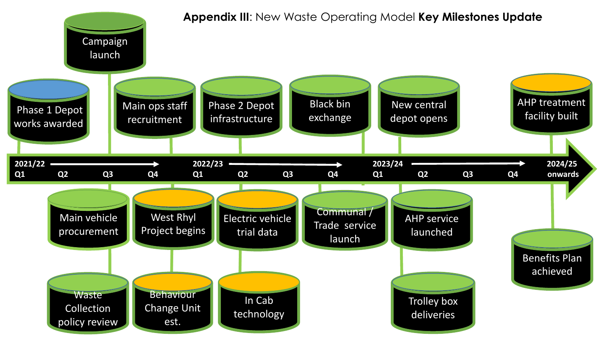